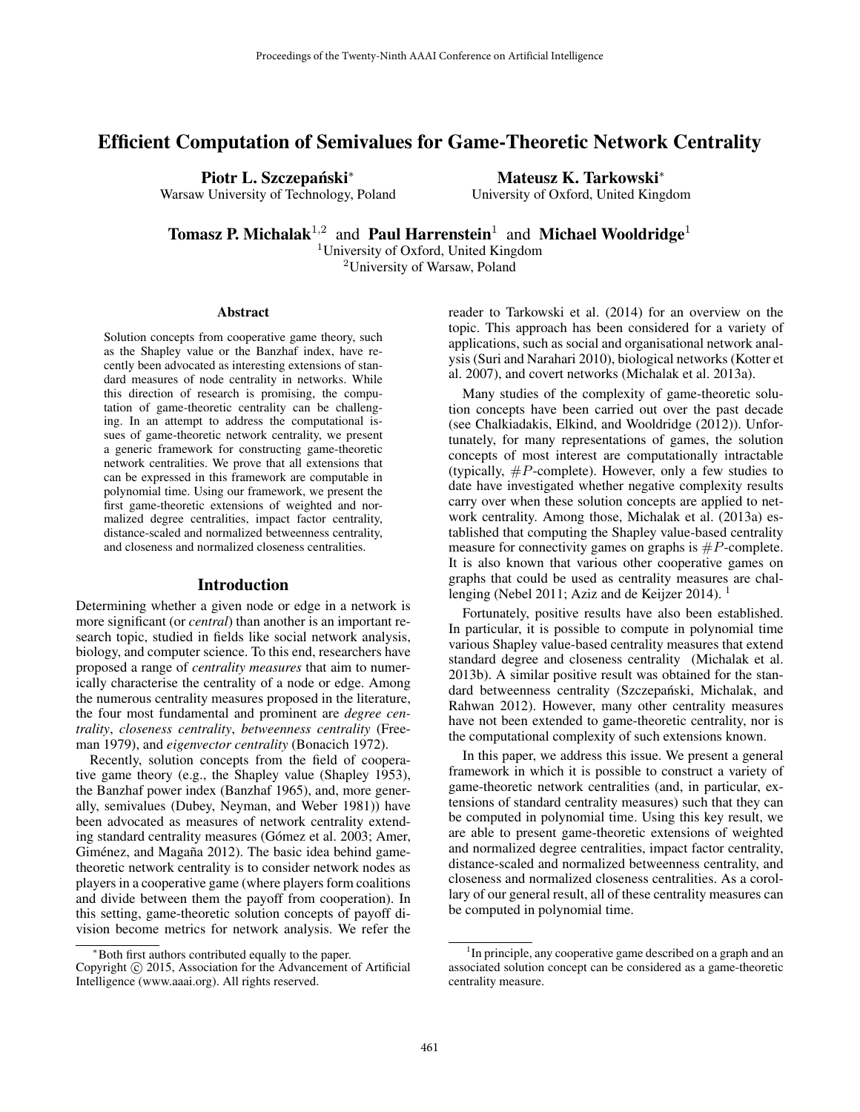# Efficient Computation of Semivalues for Game-Theoretic Network Centrality

Piotr L. Szczepański<sup>\*</sup>

Warsaw University of Technology, Poland

Mateusz K. Tarkowski<sup>∗</sup>

University of Oxford, United Kingdom

**Tomasz P. Michalak**<sup>1,2</sup> and **Paul Harrenstein**<sup>1</sup> and **Michael Wooldridge**<sup>1</sup>

<sup>1</sup>University of Oxford, United Kingdom <sup>2</sup>University of Warsaw, Poland

#### Abstract

Solution concepts from cooperative game theory, such as the Shapley value or the Banzhaf index, have recently been advocated as interesting extensions of standard measures of node centrality in networks. While this direction of research is promising, the computation of game-theoretic centrality can be challenging. In an attempt to address the computational issues of game-theoretic network centrality, we present a generic framework for constructing game-theoretic network centralities. We prove that all extensions that can be expressed in this framework are computable in polynomial time. Using our framework, we present the first game-theoretic extensions of weighted and normalized degree centralities, impact factor centrality, distance-scaled and normalized betweenness centrality, and closeness and normalized closeness centralities.

#### Introduction

Determining whether a given node or edge in a network is more significant (or *central*) than another is an important research topic, studied in fields like social network analysis, biology, and computer science. To this end, researchers have proposed a range of *centrality measures* that aim to numerically characterise the centrality of a node or edge. Among the numerous centrality measures proposed in the literature, the four most fundamental and prominent are *degree centrality*, *closeness centrality*, *betweenness centrality* (Freeman 1979), and *eigenvector centrality* (Bonacich 1972).

Recently, solution concepts from the field of cooperative game theory (e.g., the Shapley value (Shapley 1953), the Banzhaf power index (Banzhaf 1965), and, more generally, semivalues (Dubey, Neyman, and Weber 1981)) have been advocated as measures of network centrality extending standard centrality measures (Gómez et al. 2003; Amer, Giménez, and Magaña 2012). The basic idea behind gametheoretic network centrality is to consider network nodes as players in a cooperative game (where players form coalitions and divide between them the payoff from cooperation). In this setting, game-theoretic solution concepts of payoff division become metrics for network analysis. We refer the

reader to Tarkowski et al. (2014) for an overview on the topic. This approach has been considered for a variety of applications, such as social and organisational network analysis (Suri and Narahari 2010), biological networks (Kotter et al. 2007), and covert networks (Michalak et al. 2013a).

Many studies of the complexity of game-theoretic solution concepts have been carried out over the past decade (see Chalkiadakis, Elkind, and Wooldridge (2012)). Unfortunately, for many representations of games, the solution concepts of most interest are computationally intractable (typically,  $\#P$ -complete). However, only a few studies to date have investigated whether negative complexity results carry over when these solution concepts are applied to network centrality. Among those, Michalak et al. (2013a) established that computing the Shapley value-based centrality measure for connectivity games on graphs is  $\#P$ -complete. It is also known that various other cooperative games on graphs that could be used as centrality measures are challenging (Nebel 2011; Aziz and de Keijzer 2014).

Fortunately, positive results have also been established. In particular, it is possible to compute in polynomial time various Shapley value-based centrality measures that extend standard degree and closeness centrality (Michalak et al. 2013b). A similar positive result was obtained for the standard betweenness centrality (Szczepański, Michalak, and Rahwan 2012). However, many other centrality measures have not been extended to game-theoretic centrality, nor is the computational complexity of such extensions known.

In this paper, we address this issue. We present a general framework in which it is possible to construct a variety of game-theoretic network centralities (and, in particular, extensions of standard centrality measures) such that they can be computed in polynomial time. Using this key result, we are able to present game-theoretic extensions of weighted and normalized degree centralities, impact factor centrality, distance-scaled and normalized betweenness centrality, and closeness and normalized closeness centralities. As a corollary of our general result, all of these centrality measures can be computed in polynomial time.

<sup>∗</sup>Both first authors contributed equally to the paper.

Copyright © 2015, Association for the Advancement of Artificial Intelligence (www.aaai.org). All rights reserved.

<sup>&</sup>lt;sup>1</sup>In principle, any cooperative game described on a graph and an associated solution concept can be considered as a game-theoretic centrality measure.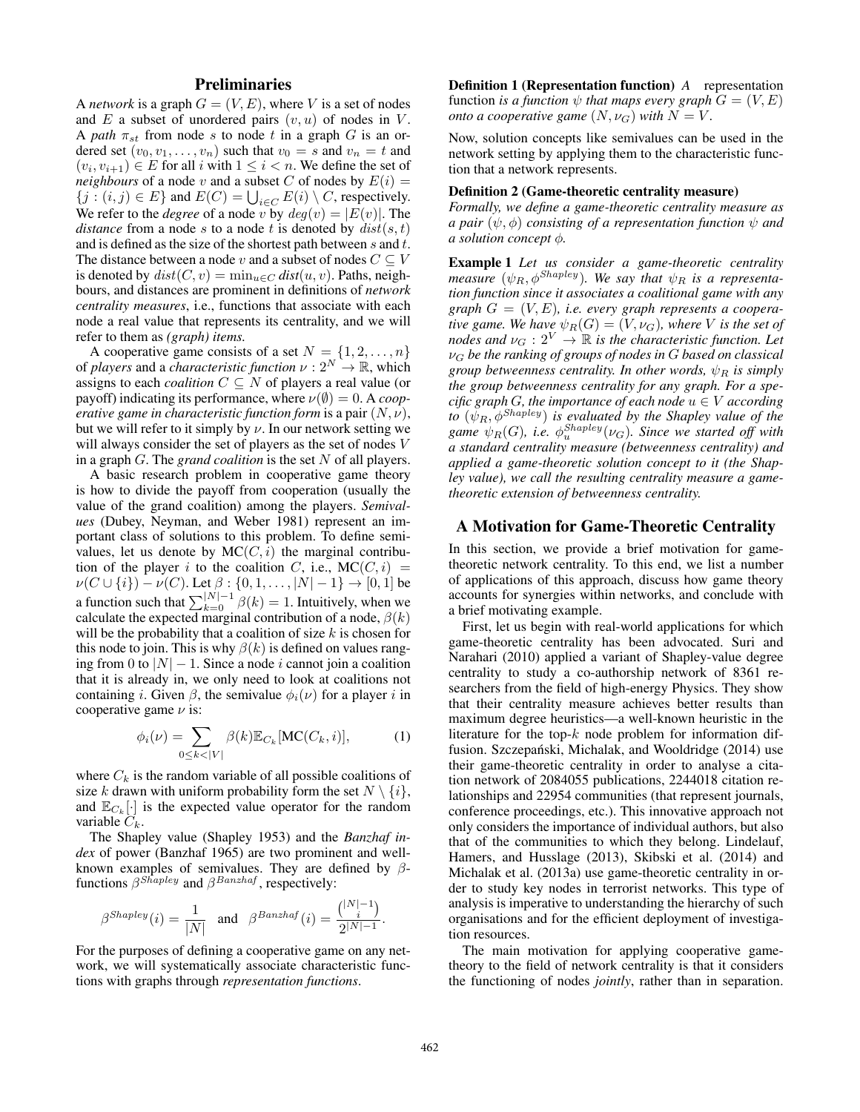# **Preliminaries**

A *network* is a graph  $G = (V, E)$ , where V is a set of nodes and  $E$  a subset of unordered pairs  $(v, u)$  of nodes in  $V$ . A *path*  $\pi_{st}$  from node s to node t in a graph G is an ordered set  $(v_0, v_1, \ldots, v_n)$  such that  $v_0 = s$  and  $v_n = t$  and  $(v_i, v_{i+1}) \in E$  for all i with  $1 \leq i < n$ . We define the set of *neighbours* of a node v and a subset C of nodes by  $E(i)$  =  $\{j : (i, j) \in E\}$  and  $E(C) = \bigcup_{i \in C} E(i) \setminus C$ , respectively. We refer to the *degree* of a node v by  $deg(v) = |E(v)|$ . The *distance* from a node s to a node t is denoted by  $dist(s, t)$ and is defined as the size of the shortest path between s and t. The distance between a node v and a subset of nodes  $C \subseteq V$ is denoted by  $dist(C, v) = \min_{u \in C} dist(u, v)$ . Paths, neighbours, and distances are prominent in definitions of *network centrality measures*, i.e., functions that associate with each node a real value that represents its centrality, and we will refer to them as *(graph) items.*

A cooperative game consists of a set  $N = \{1, 2, ..., n\}$ of *players* and a *characteristic function*  $\nu : 2^N \rightarrow \mathbb{R}$ , which assigns to each *coalition*  $C \subseteq N$  of players a real value (or payoff) indicating its performance, where  $\nu(\emptyset) = 0$ . A *cooperative game in characteristic function form* is a pair  $(N, \nu)$ , but we will refer to it simply by  $\nu$ . In our network setting we will always consider the set of players as the set of nodes V in a graph G. The *grand coalition* is the set N of all players.

A basic research problem in cooperative game theory is how to divide the payoff from cooperation (usually the value of the grand coalition) among the players. *Semivalues* (Dubey, Neyman, and Weber 1981) represent an important class of solutions to this problem. To define semivalues, let us denote by  $MC(C, i)$  the marginal contribution of the player i to the coalition C, i.e.,  $MC(C, i)$  =  $\nu(C \cup \{i\}) - \nu(C)$ . Let  $\beta : \{0, 1, \dots, |N| - 1\} \to [0, 1]$  be a function such that  $\sum_{k=0}^{|N|-1} \beta(k) = 1$ . Intuitively, when we calculate the expected marginal contribution of a node,  $\beta(k)$ will be the probability that a coalition of size  $k$  is chosen for this node to join. This is why  $\beta(k)$  is defined on values ranging from 0 to  $|N| - 1$ . Since a node *i* cannot join a coalition that it is already in, we only need to look at coalitions not containing *i*. Given  $\beta$ , the semivalue  $\phi_i(\nu)$  for a player *i* in cooperative game  $\nu$  is:

$$
\phi_i(\nu) = \sum_{0 \le k < |V|} \beta(k) \mathbb{E}_{C_k}[\text{MC}(C_k, i)],\tag{1}
$$

where  $C_k$  is the random variable of all possible coalitions of size k drawn with uniform probability form the set  $N \setminus \{i\},$ and  $\mathbb{E}_{C_k}[\cdot]$  is the expected value operator for the random variable  $C_k$ .

The Shapley value (Shapley 1953) and the *Banzhaf index* of power (Banzhaf 1965) are two prominent and wellknown examples of semivalues. They are defined by  $\beta$ functions  $\beta^{Shapley}$  and  $\beta^{Banzhaf}$ , respectively:

$$
\beta^{Shapley}(i) = \frac{1}{|N|} \quad \text{and} \quad \beta^{Banzhaf}(i) = \frac{\binom{|N|-1}{i}}{2^{|N|-1}}.
$$

For the purposes of defining a cooperative game on any network, we will systematically associate characteristic functions with graphs through *representation functions*.

Definition 1 (Representation function) *A* representation function *is a function*  $\psi$  *that maps every graph*  $G = (V, E)$ *onto a cooperative game*  $(N, \nu_G)$  *with*  $N = V$ *.* 

Now, solution concepts like semivalues can be used in the network setting by applying them to the characteristic function that a network represents.

### Definition 2 (Game-theoretic centrality measure)

*Formally, we define a game-theoretic centrality measure as a pair*  $(\psi, \phi)$  *consisting of a representation function*  $\psi$  *and a solution concept* φ*.*

Example 1 *Let us consider a game-theoretic centrality measure*  $(\psi_R, \phi^{Shapley})$ . We say that  $\psi_R$  is a representa*tion function since it associates a coalitional game with any graph* G = (V, E)*, i.e. every graph represents a cooperative game. We have*  $\psi_R(G) = (V, \nu_G)$ *, where* V *is the set of nodes and*  $\nu_G : 2^V \to \mathbb{R}$  *is the characteristic function. Let* ν<sup>G</sup> *be the ranking of groups of nodes in* G *based on classical group betweenness centrality. In other words,*  $\psi_B$  *is simply the group betweenness centrality for any graph. For a specific graph G*, the importance of each node  $u \in V$  according *to*  $(\psi_R, \phi^{Shapley})$  *is evaluated by the Shapley value of the* game  $\psi_R(G)$ , i.e.  $\phi_u^{Shapley}(\nu_G)$ . Since we started off with *a standard centrality measure (betweenness centrality) and applied a game-theoretic solution concept to it (the Shapley value), we call the resulting centrality measure a gametheoretic extension of betweenness centrality.*

### A Motivation for Game-Theoretic Centrality

In this section, we provide a brief motivation for gametheoretic network centrality. To this end, we list a number of applications of this approach, discuss how game theory accounts for synergies within networks, and conclude with a brief motivating example.

First, let us begin with real-world applications for which game-theoretic centrality has been advocated. Suri and Narahari (2010) applied a variant of Shapley-value degree centrality to study a co-authorship network of 8361 researchers from the field of high-energy Physics. They show that their centrality measure achieves better results than maximum degree heuristics—a well-known heuristic in the literature for the top- $k$  node problem for information diffusion. Szczepański, Michalak, and Wooldridge (2014) use their game-theoretic centrality in order to analyse a citation network of 2084055 publications, 2244018 citation relationships and 22954 communities (that represent journals, conference proceedings, etc.). This innovative approach not only considers the importance of individual authors, but also that of the communities to which they belong. Lindelauf, Hamers, and Husslage (2013), Skibski et al. (2014) and Michalak et al. (2013a) use game-theoretic centrality in order to study key nodes in terrorist networks. This type of analysis is imperative to understanding the hierarchy of such organisations and for the efficient deployment of investigation resources.

The main motivation for applying cooperative gametheory to the field of network centrality is that it considers the functioning of nodes *jointly*, rather than in separation.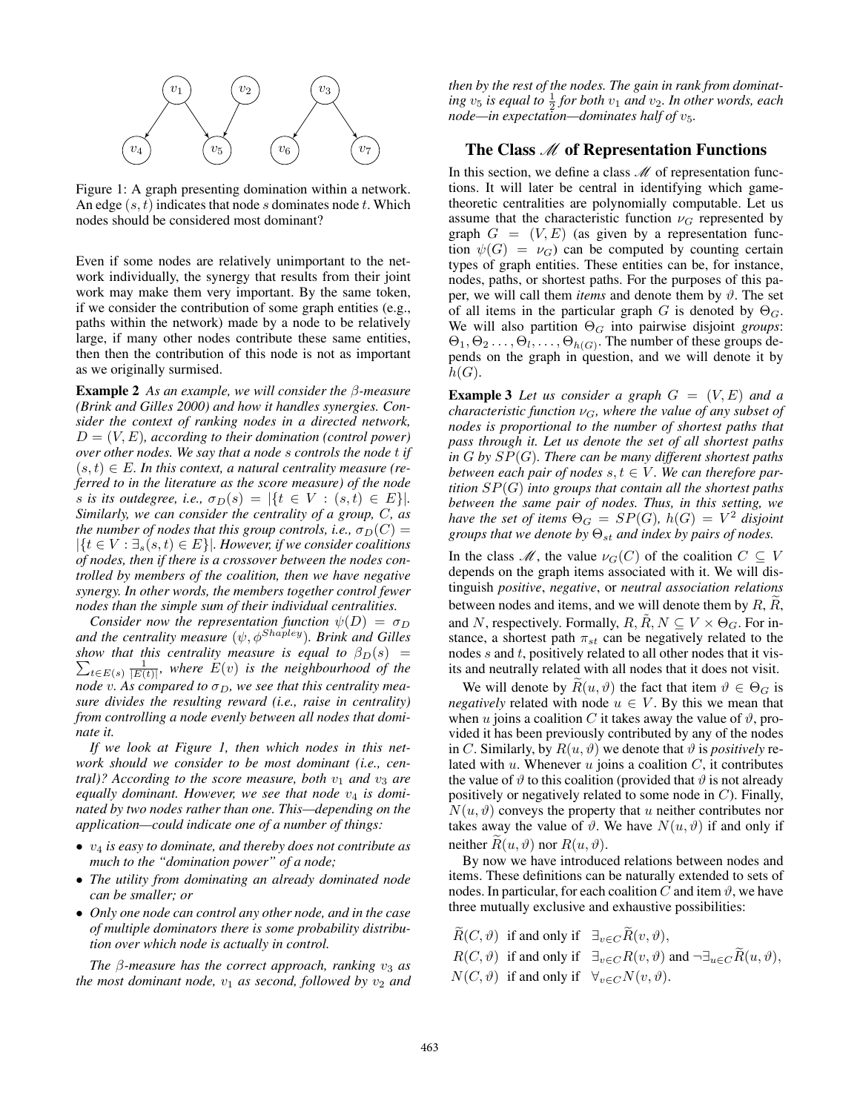

Figure 1: A graph presenting domination within a network. An edge  $(s, t)$  indicates that node s dominates node t. Which nodes should be considered most dominant?

Even if some nodes are relatively unimportant to the network individually, the synergy that results from their joint work may make them very important. By the same token, if we consider the contribution of some graph entities (e.g., paths within the network) made by a node to be relatively large, if many other nodes contribute these same entities, then then the contribution of this node is not as important as we originally surmised.

Example 2 *As an example, we will consider the* β*-measure (Brink and Gilles 2000) and how it handles synergies. Consider the context of ranking nodes in a directed network,*  $D = (V, E)$ , according to their domination (control power) *over other nodes. We say that a node* s *controls the node* t *if*  $(s, t) \in E$ . In this context, a natural centrality measure (re*ferred to in the literature as the score measure) of the node* s is its outdegree, i.e.,  $\sigma_D(s) = |\{t \in V : (s, t) \in E\}|$ . *Similarly, we can consider the centrality of a group,* C*, as the number of nodes that this group controls, i.e.,*  $\sigma_D(C)$  =  $|\{t \in V : \exists_{s}(s,t) \in E\}|$ . However, if we consider coalitions *of nodes, then if there is a crossover between the nodes controlled by members of the coalition, then we have negative synergy. In other words, the members together control fewer nodes than the simple sum of their individual centralities.*

*Consider now the representation function*  $\psi(D) = \sigma_D$ *and the centrality measure*  $(\psi, \phi^{Shapley})$ *. Brink and Gilles show that this centrality measure is equal to*  $\beta_D(s)$  =  $\sum_{t\in E(s)} \frac{1}{|E(t)|}$ , where  $E(v)$  is the neighbourhood of the *node* v. As compared to  $\sigma_D$ , we see that this centrality mea*sure divides the resulting reward (i.e., raise in centrality) from controlling a node evenly between all nodes that dominate it.*

*If we look at Figure 1, then which nodes in this network should we consider to be most dominant (i.e., central)? According to the score measure, both*  $v_1$  *and*  $v_3$  *are* equally dominant. However, we see that node  $v_4$  is domi*nated by two nodes rather than one. This—depending on the application—could indicate one of a number of things:*

- v<sup>4</sup> *is easy to dominate, and thereby does not contribute as much to the "domination power" of a node;*
- *The utility from dominating an already dominated node can be smaller; or*
- *Only one node can control any other node, and in the case of multiple dominators there is some probability distribution over which node is actually in control.*

*The*  $\beta$ -measure has the correct approach, ranking  $v_3$  as *the most dominant node,*  $v_1$  *as second, followed by*  $v_2$  *and*  *then by the rest of the nodes. The gain in rank from dominat-* $\int$ *ing*  $v_5$  *is equal to*  $\frac{1}{2}$  *for both*  $v_1$  *and*  $v_2$ *. In other words, each node—in expectation—dominates half of*  $v_5$ *.* 

# The Class  $M$  of Representation Functions

In this section, we define a class  $\mathcal M$  of representation functions. It will later be central in identifying which gametheoretic centralities are polynomially computable. Let us assume that the characteristic function  $\nu<sub>G</sub>$  represented by graph  $G = (V, E)$  (as given by a representation function  $\psi(G) = \nu_G$ ) can be computed by counting certain types of graph entities. These entities can be, for instance, nodes, paths, or shortest paths. For the purposes of this paper, we will call them *items* and denote them by  $\vartheta$ . The set of all items in the particular graph G is denoted by  $\Theta_{\mathcal{G}}$ . We will also partition  $\Theta_G$  into pairwise disjoint *groups*:  $\Theta_1, \Theta_2 \ldots, \Theta_l, \ldots, \Theta_{h(G)}$ . The number of these groups depends on the graph in question, and we will denote it by  $h(G).$ 

**Example 3** Let us consider a graph  $G = (V, E)$  and a *characteristic function*  $\nu_G$ *, where the value of any subset of nodes is proportional to the number of shortest paths that pass through it. Let us denote the set of all shortest paths in* G *by* SP(G)*. There can be many different shortest paths between each pair of nodes*  $s, t \in V$ . We can therefore par*tition* SP(G) *into groups that contain all the shortest paths between the same pair of nodes. Thus, in this setting, we have the set of items*  $\Theta_G = SP(G)$ ,  $h(G) = V^2$  *disjoint groups that we denote by*  $\Theta_{st}$  *and index by pairs of nodes.* 

In the class  $\mathcal{M}$ , the value  $\nu_G(C)$  of the coalition  $C \subseteq V$ depends on the graph items associated with it. We will distinguish *positive*, *negative*, or *neutral association relations* between nodes and items, and we will denote them by  $R$ ,  $R$ , and N, respectively. Formally,  $R, R, N \subseteq V \times \Theta_G$ . For instance, a shortest path  $\pi_{st}$  can be negatively related to the nodes  $s$  and  $t$ , positively related to all other nodes that it visits and neutrally related with all nodes that it does not visit.

We will denote by  $\widetilde{R}(u, \vartheta)$  the fact that item  $\vartheta \in \Theta_G$  is *negatively* related with node  $u \in V$ . By this we mean that when u joins a coalition C it takes away the value of  $\vartheta$ , provided it has been previously contributed by any of the nodes in C. Similarly, by  $R(u, \vartheta)$  we denote that  $\vartheta$  is *positively* related with  $u$ . Whenever  $u$  joins a coalition  $C$ , it contributes the value of  $\vartheta$  to this coalition (provided that  $\vartheta$  is not already positively or negatively related to some node in  $C$ ). Finally,  $N(u, \vartheta)$  conveys the property that u neither contributes nor takes away the value of  $\vartheta$ . We have  $N(u, \vartheta)$  if and only if neither  $R(u, \vartheta)$  nor  $R(u, \vartheta)$ .

By now we have introduced relations between nodes and items. These definitions can be naturally extended to sets of nodes. In particular, for each coalition C and item  $\vartheta$ , we have three mutually exclusive and exhaustive possibilities:

 $\widetilde{R}(C, \vartheta)$  if and only if  $\exists_{v \in C} \widetilde{R}(v, \vartheta)$ ,  $R(C, \vartheta)$  if and only if  $\exists_{v \in C} R(v, \vartheta)$  and  $\neg \exists_{u \in C} \widetilde{R}(u, \vartheta)$ ,  $N(C, \vartheta)$  if and only if  $\forall_{v \in C} N(v, \vartheta)$ .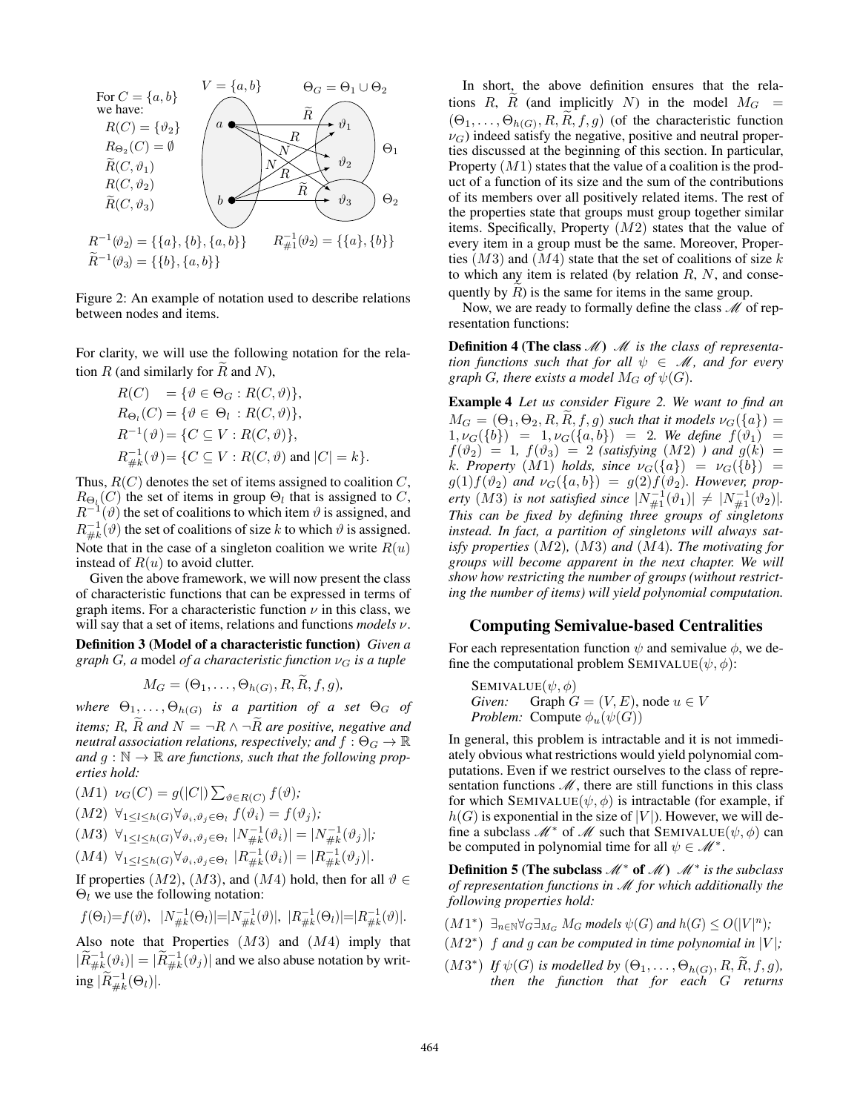

Figure 2: An example of notation used to describe relations between nodes and items.

For clarity, we will use the following notation for the relation  $R$  (and similarly for  $\overline{R}$  and  $\overline{N}$ ),

$$
R(C) = \{ \vartheta \in \Theta_G : R(C, \vartheta) \},
$$
  
\n
$$
R_{\Theta_l}(C) = \{ \vartheta \in \Theta_l : R(C, \vartheta) \},
$$
  
\n
$$
R^{-1}(\vartheta) = \{ C \subseteq V : R(C, \vartheta) \},
$$
  
\n
$$
R_{\#k}^{-1}(\vartheta) = \{ C \subseteq V : R(C, \vartheta) \text{ and } |C| = k \}.
$$

Thus,  $R(C)$  denotes the set of items assigned to coalition  $C$ ,  $R_{\Theta_l}(C)$  the set of items in group  $\Theta_l$  that is assigned to C,  $R^{-1}(\vartheta)$  the set of coalitions to which item  $\vartheta$  is assigned, and  $R_{\#k}^{-1}(\vartheta)$  the set of coalitions of size k to which  $\vartheta$  is assigned. Note that in the case of a singleton coalition we write  $R(u)$ instead of  $R(u)$  to avoid clutter.

Given the above framework, we will now present the class of characteristic functions that can be expressed in terms of graph items. For a characteristic function  $\nu$  in this class, we will say that a set of items, relations and functions *models* ν.

Definition 3 (Model of a characteristic function) *Given a graph* G, a model of a characteristic function  $\nu_G$  is a tuple

$$
M_G=(\Theta_1,\ldots,\Theta_{h(G)},R,\widetilde{R},f,g),
$$

where  $\Theta_1,\ldots,\Theta_{h(G)}$  is a partition of a set  $\Theta_G$  of *items; R,*  $\widetilde{R}$  *and*  $N = \neg R \land \neg \widetilde{R}$  *are positive, negative and neutral association relations, respectively; and*  $f : \Theta_G \to \mathbb{R}$ and  $g : \mathbb{N} \to \mathbb{R}$  are functions, such that the following prop*erties hold:*

- $(M1) \nu_G(C) = g(|C|) \sum_{\vartheta \in R(C)} f(\vartheta);$
- $(M2) \ \forall_{1 \leq l \leq h(G)} \forall_{\vartheta_i, \vartheta_j \in \Theta_l} f(\vartheta_i) = f(\vartheta_j);$

$$
(M3) \ \forall_{1 \leq l \leq h(G)} \forall_{\vartheta_i, \vartheta_j \in \Theta_l} |N_{\#k}^{-1}(\vartheta_i)| = |N_{\#k}^{-1}(\vartheta_j)|;
$$

$$
(M4) \ \ \forall_{1 \leq l \leq h(G)} \forall_{\vartheta_i, \vartheta_j \in \Theta_l} \ |R_{\#k}^{-1}(\vartheta_i)| = |R_{\#k}^{-1}(\vartheta_j)|.
$$

If properties  $(M2)$ ,  $(M3)$ , and  $(M4)$  hold, then for all  $\vartheta \in$  $\Theta_l$  we use the following notation:

$$
f(\Theta_l)=f(\vartheta), \quad |N_{\#k}^{-1}(\Theta_l)|=|N_{\#k}^{-1}(\vartheta)|, \quad |R_{\#k}^{-1}(\Theta_l)|=|R_{\#k}^{-1}(\vartheta)|.
$$

Also note that Properties  $(M3)$  and  $(M4)$  imply that  $|\widetilde{R}_{\#k}^{-1}(\vartheta_i)| = |\widetilde{R}_{\#k}^{-1}(\vartheta_j)|$  and we also abuse notation by writing  $|\widetilde{R}_{\#k}^{-1}(\Theta_l)|$ .

In short, the above definition ensures that the relations R,  $\tilde{R}$  (and implicitly N) in the model  $M_G$  =  $(\Theta_1, \ldots, \Theta_{h(G)}, R, R, f, g)$  (of the characteristic function  $\nu_G$ ) indeed satisfy the negative, positive and neutral properties discussed at the beginning of this section. In particular, Property  $(M1)$  states that the value of a coalition is the product of a function of its size and the sum of the contributions of its members over all positively related items. The rest of the properties state that groups must group together similar items. Specifically, Property  $(M2)$  states that the value of every item in a group must be the same. Moreover, Properties  $(M3)$  and  $(M4)$  state that the set of coalitions of size k to which any item is related (by relation  $R$ ,  $N$ , and consequently by  $R$ ) is the same for items in the same group.

Now, we are ready to formally define the class  $\mathcal M$  of representation functions:

Definition 4 (The class *M*) *M* is the class of representa*tion functions such that for all*  $\psi \in M$ *, and for every graph G, there exists a model*  $M_G$  *of*  $\psi(G)$ *.* 

Example 4 *Let us consider Figure 2. We want to find an*  $M_G = (\Theta_1, \Theta_2, R, R, f, g)$  *such that it models*  $\nu_G(\{a\}) =$  $1, \nu_G({b}) = 1, \nu_G({a, b}) = 2$ . We define  $f(\vartheta_1) =$  $f(\vartheta_2) = 1$ ,  $f(\vartheta_3) = 2$  *(satisfying (M2))* and  $g(k) =$ *k*. Property  $(M1)$  *holds, since*  $\nu_G({a}) = \nu_G({b}) =$  $g(1)f(\vartheta_2)$  and  $\nu_G(\lbrace a,b \rbrace) = g(2)f(\vartheta_2)$ . However, prop*erty* (*M*3) *is not satisfied since*  $|N_{\#1}^{-1}(\vartheta_1)| \neq |N_{\#1}^{-1}(\vartheta_2)|$ *. This can be fixed by defining three groups of singletons instead. In fact, a partition of singletons will always satisfy properties* (M2)*,* (M3) *and* (M4)*. The motivating for groups will become apparent in the next chapter. We will show how restricting the number of groups (without restricting the number of items) will yield polynomial computation.*

### Computing Semivalue-based Centralities

For each representation function  $\psi$  and semivalue  $\phi$ , we define the computational problem SEMIVALUE $(\psi, \phi)$ :

SEMIVALUE
$$
(\psi, \phi)
$$
  
*Given:* Graph  $G = (V, E)$ , node  $u \in V$   
*Problem:* Compute  $\phi_u(\psi(G))$ 

In general, this problem is intractable and it is not immediately obvious what restrictions would yield polynomial computations. Even if we restrict ourselves to the class of representation functions  $M$ , there are still functions in this class for which SEMIVALUE $(\psi, \phi)$  is intractable (for example, if  $h(G)$  is exponential in the size of  $|V|$ ). However, we will define a subclass  $\mathcal{M}^*$  of  $\mathcal M$  such that SEMIVALUE( $\psi, \phi$ ) can be computed in polynomial time for all  $\psi \in \mathcal{M}^*$ .

Definition 5 (The subclass  $\mathcal{M}^*$  of  $\mathcal{M}$ )  $\mathcal{M}^*$  is the subclass *of representation functions in* M *for which additionally the following properties hold:*

- $(M1^*)$   $\exists_{n \in \mathbb{N}} \forall_G \exists_{M_G} M_G$  models  $\psi(G)$  and  $h(G) \leq O(|V|^n)$ ;
- $(M2^*)$  *f and g can be computed in time polynomial in* |V|;
- $(M3^*)$  *If*  $\psi(G)$  *is modelled by*  $(\Theta_1, \ldots, \Theta_{h(G)}, R, R, f, g)$ , *then the function that for each* G *returns*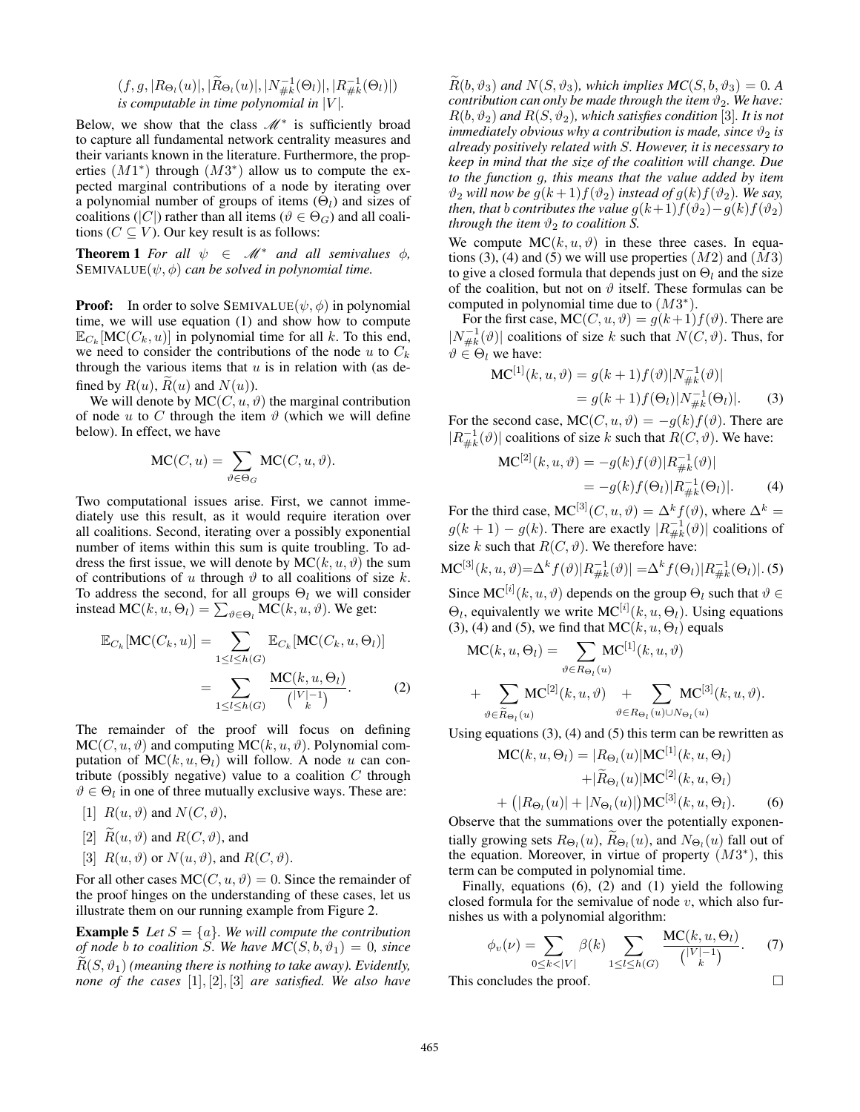$(f, g, |R_{\Theta_l}(u)|, |\widetilde{R}_{\Theta_l}(u)|, |N_{\#k}^{-1}(\Theta_l)|, |R_{\#k}^{-1}(\Theta_l)|)$ *is computable in time polynomial in*  $|V|$ *.* 

Below, we show that the class  $\mathcal{M}^*$  is sufficiently broad to capture all fundamental network centrality measures and their variants known in the literature. Furthermore, the properties  $(M1^*)$  through  $(M3^*)$  allow us to compute the expected marginal contributions of a node by iterating over a polynomial number of groups of items  $(\Theta_l)$  and sizes of coalitions (|C|) rather than all items ( $\vartheta \in \Theta_G$ ) and all coalitions ( $C \subseteq V$ ). Our key result is as follows:

**Theorem 1** *For all*  $\psi \in M^*$  *and all semivalues*  $\phi$ *,* SEMIVALUE $(\psi, \phi)$  *can be solved in polynomial time.* 

**Proof:** In order to solve SEMIVALUE( $\psi$ ,  $\phi$ ) in polynomial time, we will use equation (1) and show how to compute  $\mathbb{E}_{C_k}[\text{MC}(C_k, u)]$  in polynomial time for all k. To this end, we need to consider the contributions of the node u to  $C_k$ through the various items that  $u$  is in relation with (as defined by  $R(u)$ ,  $\widetilde{R}(u)$  and  $N(u)$ ).

We will denote by  $MC(C, u, \vartheta)$  the marginal contribution of node u to C through the item  $\vartheta$  (which we will define below). In effect, we have

$$
\mathrm{MC}(C, u) = \sum_{\vartheta \in \Theta_G} \mathrm{MC}(C, u, \vartheta).
$$

Two computational issues arise. First, we cannot immediately use this result, as it would require iteration over all coalitions. Second, iterating over a possibly exponential number of items within this sum is quite troubling. To address the first issue, we will denote by  $MC(k, u, \vartheta)$  the sum of contributions of u through  $\vartheta$  to all coalitions of size k. To address the second, for all groups  $\Theta_l$  we will consider instead MC $(k, u, \Theta_l) = \sum_{\vartheta \in \Theta_l} \text{MC}(k, u, \vartheta)$ . We get:

$$
\mathbb{E}_{C_k}[\text{MC}(C_k, u)] = \sum_{1 \le l \le h(G)} \mathbb{E}_{C_k}[\text{MC}(C_k, u, \Theta_l)]
$$

$$
= \sum_{1 \le l \le h(G)} \frac{\text{MC}(k, u, \Theta_l)}{\binom{|V| - 1}{k}}.
$$
(2)

The remainder of the proof will focus on defining  $MC(C, u, \vartheta)$  and computing  $MC(k, u, \vartheta)$ . Polynomial computation of  $MC(k, u, \Theta)$  will follow. A node u can contribute (possibly negative) value to a coalition  $C$  through  $\vartheta \in \Theta_l$  in one of three mutually exclusive ways. These are:

[1]  $R(u, \vartheta)$  and  $N(C, \vartheta)$ ,

[2] 
$$
\tilde{R}(u, \vartheta)
$$
 and  $R(C, \vartheta)$ , and

[3] 
$$
R(u, \vartheta)
$$
 or  $N(u, \vartheta)$ , and  $R(C, \vartheta)$ .

For all other cases  $MC(C, u, \vartheta) = 0$ . Since the remainder of the proof hinges on the understanding of these cases, let us illustrate them on our running example from Figure 2.

**Example 5** *Let*  $S = \{a\}$ *. We will compute the contribution of node b to coalition* S. We have  $MC(S, b, \vartheta_1) = 0$ , since  $\widetilde{R}(S, \vartheta_1)$  *(meaning there is nothing to take away). Evidently, none of the cases* [1], [2], [3] *are satisfied. We also have*

 $\widetilde{R}(b, \vartheta_3)$  and  $N(S, \vartheta_3)$ , which implies  $MC(S, b, \vartheta_3) = 0$ . A *contribution can only be made through the item*  $\vartheta_2$ *. We have:*  $R(b, \vartheta_2)$  *and*  $R(S, \vartheta_2)$ *, which satisfies condition* [3]*. It is not immediately obvious why a contribution is made, since*  $\vartheta_2$  *is already positively related with* S*. However, it is necessary to keep in mind that the size of the coalition will change. Due to the function* g*, this means that the value added by item*  $\vartheta_2$  *will now be*  $g(k+1)f(\vartheta_2)$  *instead of*  $g(k)f(\vartheta_2)$ *. We say, then, that b contributes the value*  $g(k+1)f(\vartheta_2)-g(k)f(\vartheta_2)$ *through the item*  $\vartheta_2$  *to coalition S.* 

We compute  $MC(k, u, \vartheta)$  in these three cases. In equations (3), (4) and (5) we will use properties  $(M2)$  and  $(M3)$ to give a closed formula that depends just on  $\Theta_l$  and the size of the coalition, but not on  $\vartheta$  itself. These formulas can be computed in polynomial time due to  $(M3^*)$ .

For the first case,  $MC(C, u, \vartheta) = g(k+1)f(\vartheta)$ . There are  $|N_{\#k}^{-1}(\vartheta)|$  coalitions of size k such that  $N(C, \vartheta)$ . Thus, for  $\vartheta \in \Theta_l$  we have:

$$
MC^{[1]}(k, u, \vartheta) = g(k+1)f(\vartheta)|N_{\#k}^{-1}(\vartheta)|
$$
  
=  $g(k+1)f(\Theta_l)|N_{\#k}^{-1}(\Theta_l)|$ . (3)

For the second case,  $MC(C, u, \vartheta) = -g(k)f(\vartheta)$ . There are  $|R_{\#k}^{-1}(\vartheta)|$  coalitions of size k such that  $R(C, \vartheta)$ . We have:

$$
MC^{[2]}(k, u, \vartheta) = -g(k)f(\vartheta)|R_{\#k}^{-1}(\vartheta)|
$$
  
= -g(k)f(\Theta\_l)|R\_{\#k}^{-1}(\Theta\_l)|. (4)

For the third case,  $MC^{[3]}(C, u, \vartheta) = \Delta^k f(\vartheta)$ , where  $\Delta^k =$  $g(k+1) - g(k)$ . There are exactly  $|R_{\#k}^{-1}(\vartheta)|$  coalitions of size k such that  $R(C, \vartheta)$ . We therefore have:

$$
\text{MC}^{[3]}(k, u, \vartheta) = \Delta^k f(\vartheta) |R_{\#k}^{-1}(\vartheta)| = \Delta^k f(\Theta_l) |R_{\#k}^{-1}(\Theta_l)|. (5)
$$

Since MC<sup>[*i*]</sup>( $k, u, \vartheta$ ) depends on the group  $\Theta_l$  such that  $\vartheta \in$  $\Theta_l$ , equivalently we write  $MC^{[i]}(k, u, \Theta_l)$ . Using equations (3), (4) and (5), we find that  $MC(k, u, \Theta_l)$  equals

$$
MC(k, u, \Theta_l) = \sum_{\vartheta \in R_{\Theta_l}(u)} MC^{[1]}(k, u, \vartheta)
$$
  
+ 
$$
\sum_{\vartheta \in \widetilde{R}_{\Theta_l}(u)} MC^{[2]}(k, u, \vartheta) + \sum_{\vartheta \in R_{\Theta_l}(u) \cup N_{\Theta_l}(u)} MC^{[3]}(k, u, \vartheta).
$$

Using equations  $(3)$ ,  $(4)$  and  $(5)$  this term can be rewritten as

$$
\begin{aligned} \text{MC}(k, u, \Theta_l) &= |R_{\Theta_l}(u)| \text{MC}^{[1]}(k, u, \Theta_l) \\ &+ |\widetilde{R}_{\Theta_l}(u)| \text{MC}^{[2]}(k, u, \Theta_l) \\ &+ (|R_{\Theta_l}(u)| + |N_{\Theta_l}(u)|) \text{MC}^{[3]}(k, u, \Theta_l). \end{aligned} \tag{6}
$$

Observe that the summations over the potentially exponentially growing sets  $R_{\Theta_l}(u)$ ,  $R_{\Theta_l}(u)$ , and  $N_{\Theta_l}(u)$  fall out of the equation. Moreover, in virtue of property  $(M3^*)$ , this term can be computed in polynomial time.

Finally, equations (6), (2) and (1) yield the following closed formula for the semivalue of node  $v$ , which also furnishes us with a polynomial algorithm:

$$
\phi_v(\nu) = \sum_{0 \le k < |V|} \beta(k) \sum_{1 \le l \le h(G)} \frac{\text{MC}(k, u, \Theta_l)}{\binom{|V| - 1}{k}}.
$$
 (7)

This concludes the proof.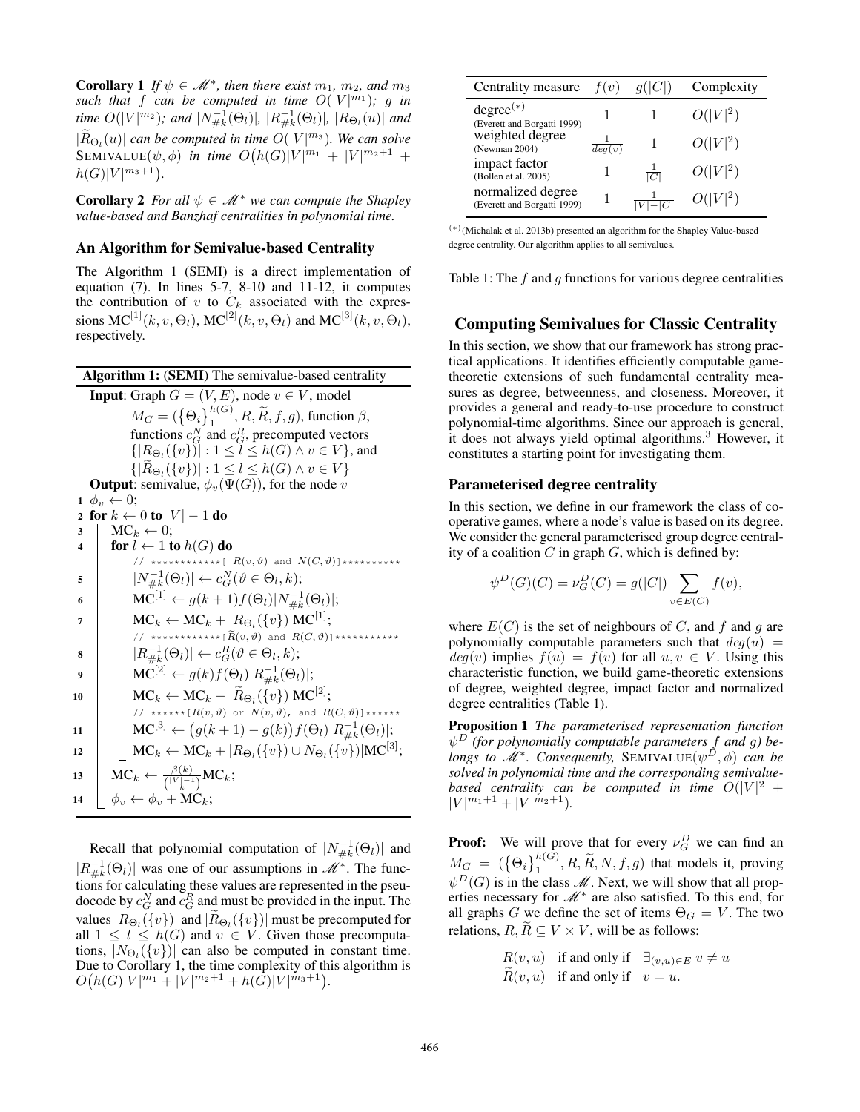**Corollary 1** If  $\psi \in \mathcal{M}^*$ , then there exist  $m_1$ ,  $m_2$ , and  $m_3$ such that f can be computed in time  $O(|V|^{m_1})$ ; g in *time*  $O(|V|^{m_2})$ ; and  $|N_{\#k}^{-1}(\Theta_l)|$ ,  $|R_{\#k}^{-1}(\Theta_l)|$ ,  $|R_{\Theta_l}(u)|$  and  $|\widetilde{R}_{\Theta_l}(u)|$  *can be computed in time*  $O(|V|^{m_3})$ *. We can solve*  $\text{SEMVALUE}(\psi, \phi)$  *in time*  $O(h(G)|V|^{m_1} + |V|^{m_2+1} +$  $h(G)|V|^{m_3+1}.$ 

**Corollary 2** *For all*  $\psi \in \mathcal{M}^*$  *we can compute the Shapley value-based and Banzhaf centralities in polynomial time.*

### An Algorithm for Semivalue-based Centrality

The Algorithm 1 (SEMI) is a direct implementation of equation (7). In lines 5-7, 8-10 and 11-12, it computes the contribution of v to  $C_k$  associated with the expressions  $MC^{[1]}(k, v, \Theta_l)$ ,  $MC^{[2]}(k, v, \Theta_l)$  and  $MC^{[3]}(k, v, \Theta_l)$ , respectively.

Algorithm 1: (SEMI) The semivalue-based centrality **Input:** Graph  $G = (V, E)$ , node  $v \in V$ , model  $M_G = (\{\Theta_i\}_1^{h(G)}, R, \widetilde{R}, f, g)$ , function  $\beta$ , functions  $c_G^N$  and  $c_G^R$ , precomputed vectors  $\{|R_{\Theta_l}(\{v\})|:1\leq l\leq h(G)\wedge v\in V\}$ , and  $\{ |R_{\Theta_l}(\{v\})| : 1 \leq l \leq h(G) \wedge v \in V \}$ **Output:** semivalue,  $\phi_v(\Psi(G))$ , for the node v  $1 \phi_v \leftarrow 0;$ 2 for  $k \leftarrow 0$  to  $|V| - 1$  do  $3 \mid MC_k \leftarrow 0;$ 4 for  $l \leftarrow 1$  to  $h(G)$  do // \*\*\*\*\*\*\*\*\*\*\*\*\*[  $R(v, \vartheta)$  and  $N(C, \vartheta)$ ]\*\*\*\*\*\*\*\*\*\*\*  $\mathsf{s} \quad | \quad |N^{-1}_{\# k}(\Theta_l)| \leftarrow c_G^N(\vartheta \in \Theta_l, k);$ 6  $\big| \text{MC}^{[1]} \leftarrow g(k+1) f(\Theta_l) |N_{\#k}^{-1}(\Theta_l)|;$  $7 \quad | \quad \quad \text{MC}_k \leftarrow \text{MC}_k + |R_{\Theta_l}(\{v\})| \text{MC}^{[1]};$ // \*\*\*\*\*\*\*\*\*\*\*\*\* $\mathbb{E}[R(v,\vartheta)]$  and  $R(C,\vartheta)$ ]\*\*\*\*\*\*\*\*\*\*\*\*  $\mathbf{s}$  |  $|R_{\#k}^{-1}(\Theta_l)| \leftarrow c_G^R(\vartheta \in \Theta_l, k);$  $\quad \ \ \, \Theta \quad \ \ \, \mid \quad \mathrm{MC}^{[2]} \leftarrow g(k)f(\Theta_l)|R^{-1}_{\#k}(\Theta_l)|;$  $10$   $\bigg|\quad\text{MC}_k\leftarrow\text{MC}_k-|\widetilde{R}_{\Theta_l}(\{v\})|\text{MC}^{[2]};$ // \*\*\*\*\*\* $[R(v, \vartheta)$  or  $N(v, \vartheta)$ , and  $R(C, \vartheta)$ ]\*\*\*\*\*\* 11  $\left| \text{MC}^{[3]} \leftarrow (g(k+1) - g(k)) f(\Theta_l) | R_{\#k}^{-1}(\Theta_l) |;$  $\begin{split} \texttt{12} \quad & \Big| \quad \Big| \quad \text{MC}_k \leftarrow \text{MC}_k + |R_{\Theta_l}(\{v\}) \cup N_{\Theta_l}(\{v\})| \text{MC}^{[3]}; \end{split}$ 13  $MC_k \leftarrow \frac{\beta(k)}{\binom{|V|-1}{k}} MC_k;$ 14  $\phi_v \leftarrow \phi_v + \text{MC}_k;$ 

Recall that polynomial computation of  $|N_{\#k}^{-1}(\Theta_l)|$  and  $|R_{\#k}^{-1}(\Theta_l)|$  was one of our assumptions in  $\mathcal{M}^*$ . The functions for calculating these values are represented in the pseudocode by  $c_G^N$  and  $c_G^R$  and must be provided in the input. The values  $|R_{\Theta_l}(\{v\})|$  and  $|R_{\Theta_l}(\{v\})|$  must be precomputed for all  $1 \leq l \leq h(G)$  and  $v \in V$ . Given those precomputations,  $|N_{\Theta_l}(\{v\})|$  can also be computed in constant time. Due to Corollary 1, the time complexity of this algorithm is  $O(h(G)|V|^{m_1}+|V|^{m_2+1}+h(\tilde{G})|V|^{m_3+1}).$ 

| Centrality measure                               | f(v)                | q( C )          | Complexity |
|--------------------------------------------------|---------------------|-----------------|------------|
| $degree^{(*)}$<br>(Everett and Borgatti 1999)    |                     |                 | $O( V ^2)$ |
| weighted degree<br>(Newman 2004)                 | $\overline{deg(v)}$ |                 | $O( V ^2)$ |
| impact factor<br>(Bollen et al. 2005)            |                     | $\frac{1}{ C }$ | $O( V ^2)$ |
| normalized degree<br>(Everett and Borgatti 1999) |                     | $ V - C $       | $O( V ^2)$ |

(∗) (Michalak et al. 2013b) presented an algorithm for the Shapley Value-based degree centrality. Our algorithm applies to all semivalues.

Table 1: The  $f$  and  $g$  functions for various degree centralities

## Computing Semivalues for Classic Centrality

In this section, we show that our framework has strong practical applications. It identifies efficiently computable gametheoretic extensions of such fundamental centrality measures as degree, betweenness, and closeness. Moreover, it provides a general and ready-to-use procedure to construct polynomial-time algorithms. Since our approach is general, it does not always yield optimal algorithms.<sup>3</sup> However, it constitutes a starting point for investigating them.

### Parameterised degree centrality

In this section, we define in our framework the class of cooperative games, where a node's value is based on its degree. We consider the general parameterised group degree centrality of a coalition  $C$  in graph  $G$ , which is defined by:

$$
\psi^D(G)(C) = \nu_G^D(C) = g(|C|) \sum_{v \in E(C)} f(v),
$$

where  $E(C)$  is the set of neighbours of C, and f and q are polynomially computable parameters such that  $deg(u)$  =  $deg(v)$  implies  $f(u) = f(v)$  for all  $u, v \in V$ . Using this characteristic function, we build game-theoretic extensions of degree, weighted degree, impact factor and normalized degree centralities (Table 1).

Proposition 1 *The parameterised representation function* ψ <sup>D</sup> *(for polynomially computable parameters* f *and* g*) belongs to*  $\mathcal{M}^*$ *. Consequently, SEMIVALUE* $(\psi^D, \phi)$  *can be solved in polynomial time and the corresponding semivalue*based centrality can be computed in time  $O(|V|^2 + 1)$  $|V|^{m_1+1}+|V|^{m_2+1}$ ).

**Proof:** We will prove that for every  $\nu_G^D$  we can find an  $M_G = (\{\Theta_i\}_1^{h(G)}, R, \widetilde{R}, N, f, g)$  that models it, proving  $\psi^D(G)$  is in the class  $\mathcal M$ . Next, we will show that all properties necessary for  $M^*$  are also satisfied. To this end, for all graphs G we define the set of items  $\Theta_G = V$ . The two relations,  $R, \widetilde{R} \subseteq V \times V$ , will be as follows:

> $R(v, u)$  if and only if  $\exists_{(v, u) \in E} v \neq u$  $\overline{R}(v, u)$  if and only if  $v = u$ .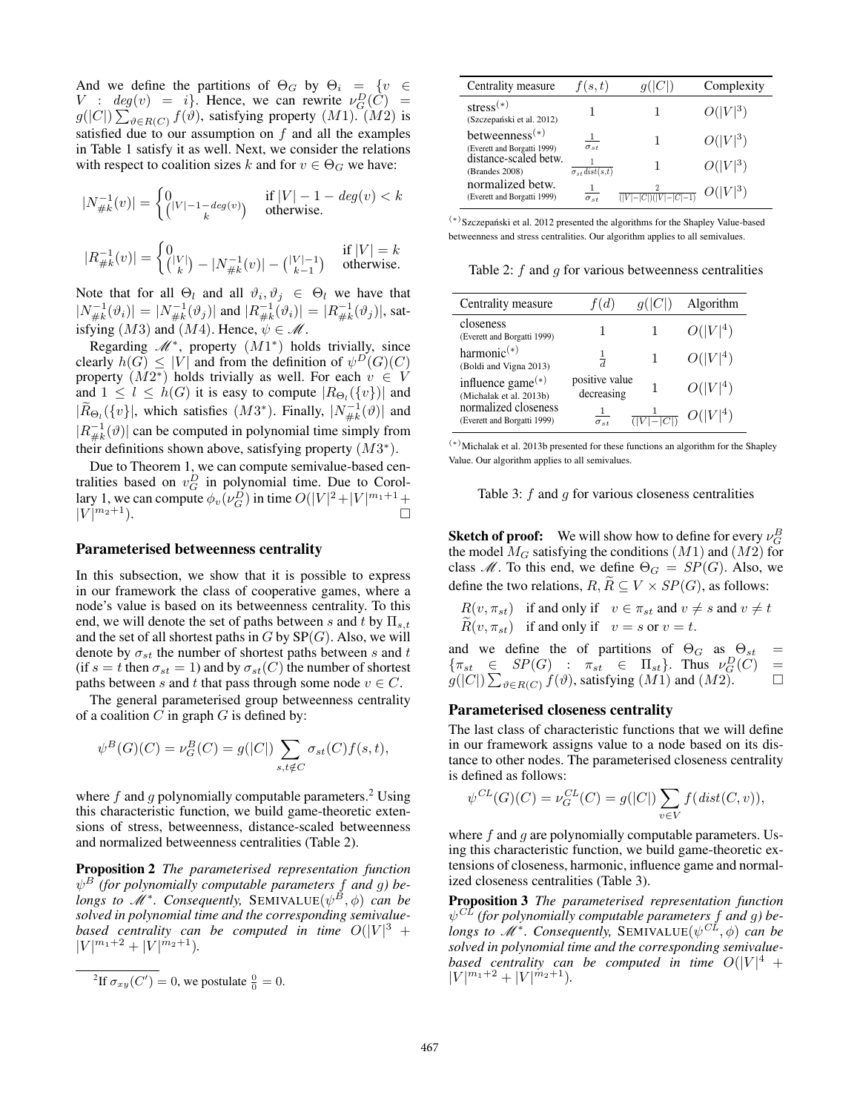And we define the partitions of  $\Theta_G$  by  $\Theta_i = \{v \in$  $V : deg(v) = i$ . Hence, we can rewrite  $v_G^D(\tilde{C}) =$  $g(|C|) \sum_{\vartheta \in R(C)} f(\vartheta)$ , satisfying property  $(M1)$ .  $(M2)$  is satisfied due to our assumption on f and all the examples in Table 1 satisfy it as well. Next, we consider the relations with respect to coalition sizes k and for  $v \in \Theta_G$  we have:

$$
\begin{aligned} |N_{\#k}^{-1}(v)| &= \begin{cases} 0 & \text{if } |V| - 1 - deg(v) < k \\ (|V| - 1 - deg(v)) & \text{otherwise.} \end{cases} \\ |R_{\#k}^{-1}(v)| &= \begin{cases} 0 & \text{if } |V| = k \\ (|V|) - |N_{\#k}^{-1}(v)| - (|V| - 1) & \text{otherwise.} \end{cases} \end{aligned}
$$

Note that for all  $\Theta_l$  and all  $\vartheta_i, \vartheta_j \in \Theta_l$  we have that  $|N_{\#k}^{-1}(\vartheta_i)| = |N_{\#k}^{-1}(\vartheta_j)|$  and  $|R_{\#k}^{-1}(\vartheta_i)| = |R_{\#k}^{-1}(\vartheta_j)|$ , satisfying  $(M3)$  and  $(M4)$ . Hence,  $\psi \in \mathcal{M}$ .

Regarding  $M^*$ , property  $(M1^*)$  holds trivially, since clearly  $h(G) \leq |V|$  and from the definition of  $\psi^D(G)(C)$ property  $(M2^*)$  holds trivially as well. For each  $v \in V$ and  $1 \leq l \leq h(G)$  it is easy to compute  $|R_{\Theta_l}(\{v\})|$  and  $|\widetilde{R}_{\Theta_l}(\{v\}|, \text{ which satisfies } (M3^*). \text{ Finally, } |N_{\#k}^{-1}(\vartheta)| \text{ and }$  $|R_{\#k}^{-1}(\vartheta)|$  can be computed in polynomial time simply from their definitions shown above, satisfying property  $(M3^*)$ .

Due to Theorem 1, we can compute semivalue-based centralities based on  $v_G^D$  in polynomial time. Due to Corollary 1, we can compute  $\phi_v(\nu_G^D)$  in time  $O(|V|^2 + |V|^{m_1+1} +$  $|V|^{m_2+1}$ ).  $\Box$   $\Box$ 

#### Parameterised betweenness centrality

In this subsection, we show that it is possible to express in our framework the class of cooperative games, where a node's value is based on its betweenness centrality. To this end, we will denote the set of paths between s and t by  $\Pi_{s,t}$ and the set of all shortest paths in  $G$  by  $SP(G)$ . Also, we will denote by  $\sigma_{st}$  the number of shortest paths between s and t (if  $s = t$  then  $\sigma_{st} = 1$ ) and by  $\sigma_{st}(C)$  the number of shortest paths between s and t that pass through some node  $v \in C$ .

The general parameterised group betweenness centrality of a coalition  $C$  in graph  $G$  is defined by:

$$
\psi^B(G)(C) = \nu_G^B(C) = g(|C|) \sum_{s,t \notin C} \sigma_{st}(C) f(s,t),
$$

where f and g polynomially computable parameters.<sup>2</sup> Using this characteristic function, we build game-theoretic extensions of stress, betweenness, distance-scaled betweenness and normalized betweenness centralities (Table 2).

Proposition 2 *The parameterised representation function* ψ <sup>B</sup> *(for polynomially computable parameters* f *and* g*) belongs to*  $\mathcal{M}^*$ *. Consequently, SEMIVALUE* $(\psi^B, \phi)$  *can be solved in polynomial time and the corresponding semivalue*based centrality can be computed in time  $O(|V|^3 +$  $|V|^{m_1+2}+|V|^{m_2+1}$ ).

| Centrality measure                               | f(s,t)                     |                                  | Complexity |
|--------------------------------------------------|----------------------------|----------------------------------|------------|
| $stress(*)$<br>(Szczepański et al. 2012)         |                            |                                  | $O( V ^3)$ |
| betweenness $(*)$<br>(Everett and Borgatti 1999) | $\sigma_{st}$              |                                  | $O( V ^3)$ |
| distance-scaled betw.<br>(Brandes 2008)          | $\sigma_{st}$ dist $(s,t)$ |                                  | $O( V ^3)$ |
| normalized betw.<br>(Everett and Borgatti 1999)  | $\sigma_{st}$              | $\frac{2}{( V - C )( V - C -1)}$ | $O( V ^3)$ |

(∗) Szczepanski et al. 2012 presented the algorithms for the Shapley Value-based ´ betweenness and stress centralities. Our algorithm applies to all semivalues.

Table 2:  $f$  and  $g$  for various betweenness centralities

| Centrality measure                                       |                              | q( C )                | Algorithm  |
|----------------------------------------------------------|------------------------------|-----------------------|------------|
| closeness<br>(Everett and Borgatti 1999)                 |                              |                       | $O( V ^4)$ |
| harmonic $(*)$<br>(Boldi and Vigna 2013)                 | $\frac{1}{d}$                |                       | $O( V ^4)$ |
| influence game <sup>(*)</sup><br>(Michalak et al. 2013b) | positive value<br>decreasing |                       | $O( V ^4)$ |
| normalized closeness<br>(Everett and Borgatti 1999)      | $\sigma_{st}$                | $\frac{1}{( V - C )}$ | $O( V ^4)$ |

(∗)Michalak et al. 2013b presented for these functions an algorithm for the Shapley Value. Our algorithm applies to all semivalues.

Table 3:  $f$  and  $g$  for various closeness centralities

**Sketch of proof:** We will show how to define for every  $\nu_G^B$ the model  $M_G$  satisfying the conditions  $(M1)$  and  $(M2)$  for class  $\mathcal{M}$ . To this end, we define  $\Theta_G = SP(G)$ . Also, we define the two relations,  $R, R \subseteq V \times SP(G)$ , as follows:

 $R(v, \pi_{st})$  if and only if  $v \in \pi_{st}$  and  $v \neq s$  and  $v \neq t$  $R(v, \pi_{st})$  if and only if  $v = s$  or  $v = t$ .

and we define the of partitions of  $\Theta_G$  as  $\Theta_{st}$  =  $\{\pi_{st} \in \text{SP}(G) : \pi_{st} \in \Pi_{st}\}.$  Thus  $\nu_G^D(C) =$  $g(|C|) \sum_{\vartheta \in R(C)} f(\vartheta)$ , satisfying  $(M1)$  and  $(M2)$ .

### Parameterised closeness centrality

The last class of characteristic functions that we will define in our framework assigns value to a node based on its distance to other nodes. The parameterised closeness centrality is defined as follows:

$$
\psi^{CL}(G)(C) = \nu_G^{CL}(C) = g(|C|) \sum_{v \in V} f(dist(C, v)),
$$

where  $f$  and  $g$  are polynomially computable parameters. Using this characteristic function, we build game-theoretic extensions of closeness, harmonic, influence game and normalized closeness centralities (Table 3).

Proposition 3 *The parameterised representation function* ψ CL *(for polynomially computable parameters* f *and* g*) belongs to*  $\mathcal{M}^*$ *. Consequently, SEMIVALUE* $(\psi^{CL}, \phi)$  *can be solved in polynomial time and the corresponding semivalue*based centrality can be computed in time  $O(|V|^4 +$  $|V|^{m_1+2}+|V|^{m_2+1}$ ).

<sup>&</sup>lt;sup>2</sup>If  $\sigma_{xy}(C') = 0$ , we postulate  $\frac{0}{0} = 0$ .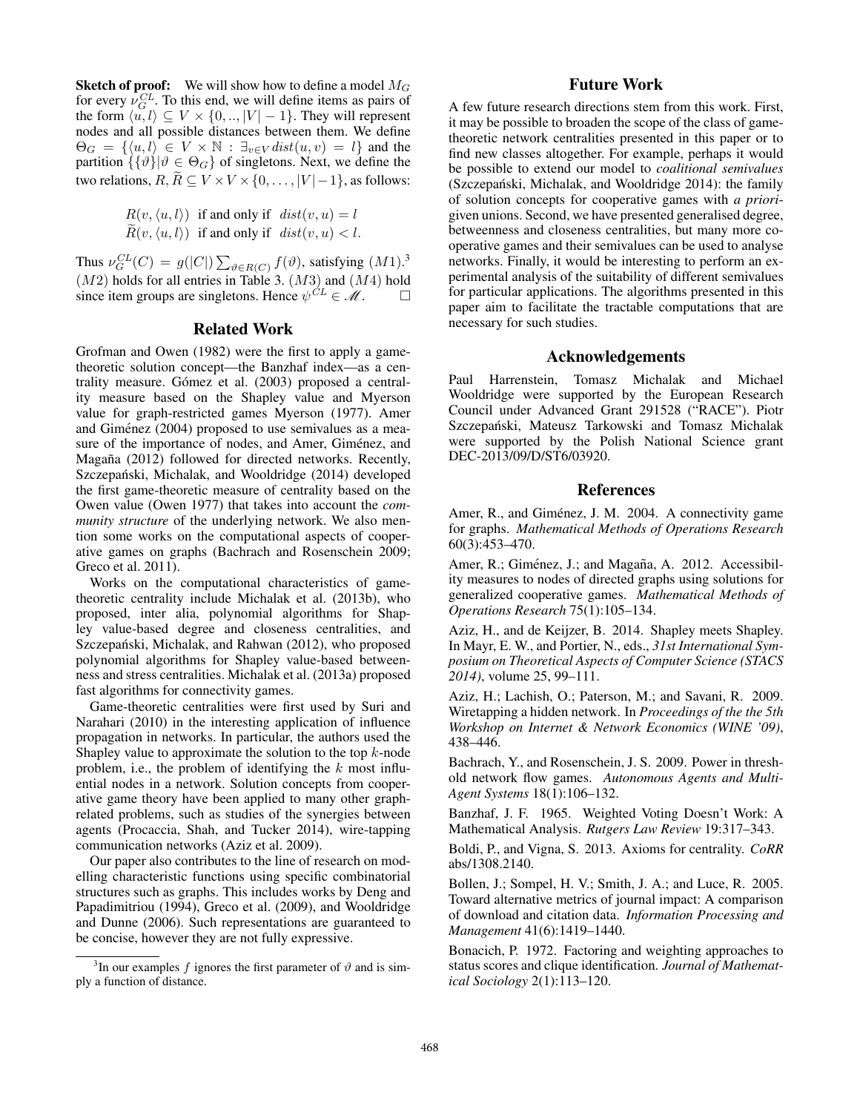**Sketch of proof:** We will show how to define a model  $M_G$ for every  $\nu_G^{CL}$ . To this end, we will define items as pairs of the form  $\langle u, l \rangle \subseteq V \times \{0, ..., |V| - 1\}$ . They will represent nodes and all possible distances between them. We define  $\Theta_G = \{ \langle u, l \rangle \in V \times \mathbb{N} : \exists_{v \in V} \text{dist}(u, v) = l \}$  and the partition  $\{ \{ \vartheta \} | \vartheta \in \Theta_G \}$  of singletons. Next, we define the two relations,  $R, R \subseteq V \times V \times \{0, \ldots, |V| - 1\}$ , as follows:

$$
R(v, \langle u, l \rangle) \text{ if and only if } dist(v, u) = l
$$
  

$$
\widetilde{R}(v, \langle u, l \rangle) \text{ if and only if } dist(v, u) < l.
$$

Thus  $\nu_G^{CL}(C) = g(|C|) \sum_{\vartheta \in R(C)} f(\vartheta)$ , satisfying  $(M1).<sup>3</sup>$  $(M2)$  holds for all entries in Table 3.  $(M3)$  and  $(M4)$  hold since item groups are singletons. Hence  $\psi^{CL} \in \mathcal{M}$ .

#### Related Work

Grofman and Owen (1982) were the first to apply a gametheoretic solution concept—the Banzhaf index—as a centrality measure. Gómez et al. (2003) proposed a centrality measure based on the Shapley value and Myerson value for graph-restricted games Myerson (1977). Amer and Giménez (2004) proposed to use semivalues as a measure of the importance of nodes, and Amer, Giménez, and Magaña (2012) followed for directed networks. Recently, Szczepański, Michalak, and Wooldridge (2014) developed the first game-theoretic measure of centrality based on the Owen value (Owen 1977) that takes into account the *community structure* of the underlying network. We also mention some works on the computational aspects of cooperative games on graphs (Bachrach and Rosenschein 2009; Greco et al. 2011).

Works on the computational characteristics of gametheoretic centrality include Michalak et al. (2013b), who proposed, inter alia, polynomial algorithms for Shapley value-based degree and closeness centralities, and Szczepański, Michalak, and Rahwan (2012), who proposed polynomial algorithms for Shapley value-based betweenness and stress centralities. Michalak et al. (2013a) proposed fast algorithms for connectivity games.

Game-theoretic centralities were first used by Suri and Narahari (2010) in the interesting application of influence propagation in networks. In particular, the authors used the Shapley value to approximate the solution to the top  $k$ -node problem, i.e., the problem of identifying the  $k$  most influential nodes in a network. Solution concepts from cooperative game theory have been applied to many other graphrelated problems, such as studies of the synergies between agents (Procaccia, Shah, and Tucker 2014), wire-tapping communication networks (Aziz et al. 2009).

Our paper also contributes to the line of research on modelling characteristic functions using specific combinatorial structures such as graphs. This includes works by Deng and Papadimitriou (1994), Greco et al. (2009), and Wooldridge and Dunne (2006). Such representations are guaranteed to be concise, however they are not fully expressive.

## Future Work

A few future research directions stem from this work. First, it may be possible to broaden the scope of the class of gametheoretic network centralities presented in this paper or to find new classes altogether. For example, perhaps it would be possible to extend our model to *coalitional semivalues* (Szczepański, Michalak, and Wooldridge 2014): the family of solution concepts for cooperative games with *a priori*given unions. Second, we have presented generalised degree, betweenness and closeness centralities, but many more cooperative games and their semivalues can be used to analyse networks. Finally, it would be interesting to perform an experimental analysis of the suitability of different semivalues for particular applications. The algorithms presented in this paper aim to facilitate the tractable computations that are necessary for such studies.

## Acknowledgements

Paul Harrenstein, Tomasz Michalak and Michael Wooldridge were supported by the European Research Council under Advanced Grant 291528 ("RACE"). Piotr Szczepański, Mateusz Tarkowski and Tomasz Michalak were supported by the Polish National Science grant DEC-2013/09/D/ST6/03920.

### References

Amer, R., and Giménez, J. M. 2004. A connectivity game for graphs. *Mathematical Methods of Operations Research* 60(3):453–470.

Amer, R.; Giménez, J.; and Magaña, A. 2012. Accessibility measures to nodes of directed graphs using solutions for generalized cooperative games. *Mathematical Methods of Operations Research* 75(1):105–134.

Aziz, H., and de Keijzer, B. 2014. Shapley meets Shapley. In Mayr, E. W., and Portier, N., eds., *31st International Symposium on Theoretical Aspects of Computer Science (STACS 2014)*, volume 25, 99–111.

Aziz, H.; Lachish, O.; Paterson, M.; and Savani, R. 2009. Wiretapping a hidden network. In *Proceedings of the the 5th Workshop on Internet & Network Economics (WINE '09)*, 438–446.

Bachrach, Y., and Rosenschein, J. S. 2009. Power in threshold network flow games. *Autonomous Agents and Multi-Agent Systems* 18(1):106–132.

Banzhaf, J. F. 1965. Weighted Voting Doesn't Work: A Mathematical Analysis. *Rutgers Law Review* 19:317–343.

Boldi, P., and Vigna, S. 2013. Axioms for centrality. *CoRR* abs/1308.2140.

Bollen, J.; Sompel, H. V.; Smith, J. A.; and Luce, R. 2005. Toward alternative metrics of journal impact: A comparison of download and citation data. *Information Processing and Management* 41(6):1419–1440.

Bonacich, P. 1972. Factoring and weighting approaches to status scores and clique identification. *Journal of Mathematical Sociology* 2(1):113–120.

<sup>&</sup>lt;sup>3</sup>In our examples f ignores the first parameter of  $\vartheta$  and is simply a function of distance.